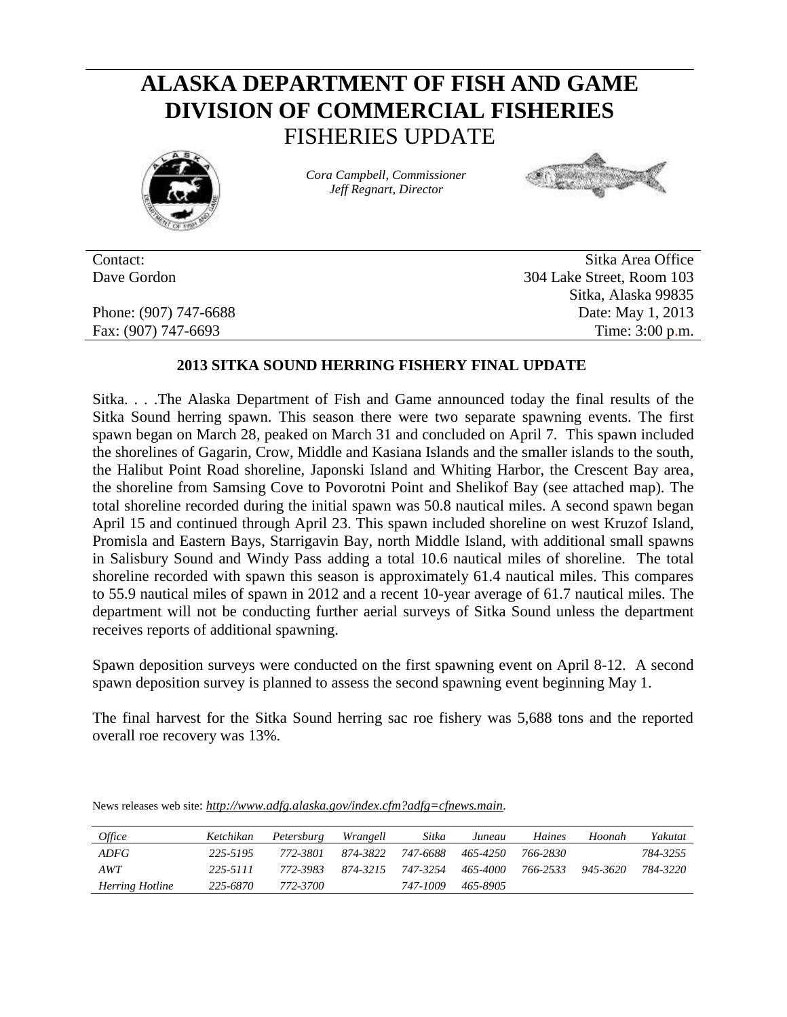## **ALASKA DEPARTMENT OF FISH AND GAME DIVISION OF COMMERCIAL FISHERIES** FISHERIES UPDATE



*Cora Campbell, Commissioner Jeff Regnart, Director*



Contact: Sitka Area Office Dave Gordon 304 Lake Street, Room 103 Sitka, Alaska 99835 Phone: (907) 747-6688 Date: May 1, 2013 Fax: (907) 747-6693 Time: 3:00 p.m.

## **2013 SITKA SOUND HERRING FISHERY FINAL UPDATE**

Sitka. . . .The Alaska Department of Fish and Game announced today the final results of the Sitka Sound herring spawn. This season there were two separate spawning events. The first spawn began on March 28, peaked on March 31 and concluded on April 7. This spawn included the shorelines of Gagarin, Crow, Middle and Kasiana Islands and the smaller islands to the south, the Halibut Point Road shoreline, Japonski Island and Whiting Harbor, the Crescent Bay area, the shoreline from Samsing Cove to Povorotni Point and Shelikof Bay (see attached map). The total shoreline recorded during the initial spawn was 50.8 nautical miles. A second spawn began April 15 and continued through April 23. This spawn included shoreline on west Kruzof Island, Promisla and Eastern Bays, Starrigavin Bay, north Middle Island, with additional small spawns in Salisbury Sound and Windy Pass adding a total 10.6 nautical miles of shoreline. The total shoreline recorded with spawn this season is approximately 61.4 nautical miles. This compares to 55.9 nautical miles of spawn in 2012 and a recent 10-year average of 61.7 nautical miles. The department will not be conducting further aerial surveys of Sitka Sound unless the department receives reports of additional spawning.

Spawn deposition surveys were conducted on the first spawning event on April 8-12. A second spawn deposition survey is planned to assess the second spawning event beginning May 1.

The final harvest for the Sitka Sound herring sac roe fishery was 5,688 tons and the reported overall roe recovery was 13%.

| <i>Office</i>          | Ketchikan | Petersburg | Wrangell | Sitka    | Juneau   | Haines   | Hoonah   | Yakutat  |
|------------------------|-----------|------------|----------|----------|----------|----------|----------|----------|
| <i>ADFG</i>            | 225-5195  | 772-3801   | 874-3822 | 747-6688 | 465-4250 | 766-2830 |          | 784-3255 |
| AWT                    | 225-5111  | 772-3983   | 874-3215 | 747-3254 | 465-4000 | 766-2533 | 945-3620 | 784-3220 |
| <b>Herring Hotline</b> | 225-6870  | 772-3700   |          | 747-1009 | 465-8905 |          |          |          |

News releases web site: *http://www.adfg.alaska.gov/index.cfm?adfg=cfnews.main.*